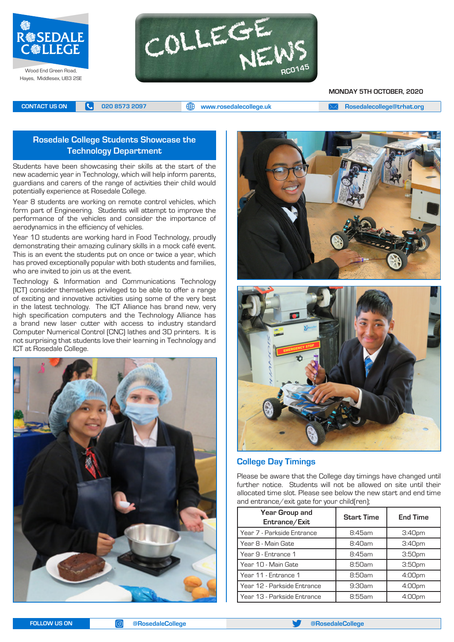

Hayes, Middlesex, UB3 2SE



#### **MONDAY 5TH OCTOBER, 2020**

**CONTACT US ON <b>C** 020 8573 2097 **C** 020 8573 2097 **CONTACT US ON EXAM** A posedalecollege@trhat.org

# **Rosedale College Students Showcase the Technology Department**

Students have been showcasing their skills at the start of the new academic year in Technology, which will help inform parents, guardians and carers of the range of activities their child would potentially experience at Rosedale College.

Year 8 students are working on remote control vehicles, which form part of Engineering. Students will attempt to improve the performance of the vehicles and consider the importance of aerodynamics in the efficiency of vehicles.

Year 10 students are working hard in Food Technology, proudly demonstrating their amazing culinary skills in a mock café event. This is an event the students put on once or twice a year, which has proved exceptionally popular with both students and families, who are invited to join us at the event.

Technology & Information and Communications Technology (ICT) consider themselves privileged to be able to offer a range of exciting and innovative activities using some of the very best in the latest technology. The ICT Alliance has brand new, very high specification computers and the Technology Alliance has a brand new laser cutter with access to industry standard Computer Numerical Control (CNC) lathes and 3D printers. It is not surprising that students love their learning in Technology and ICT at Rosedale College.







#### **College Day Timings**

Please be aware that the College day timings have changed until further notice. Students will not be allowed on site until their allocated time slot. Please see below the new start and end time and entrance/exit gate for your child(ren);

| Year Group and<br>Entrance/Exit | <b>Start Time</b> | <b>End Time</b>    |
|---------------------------------|-------------------|--------------------|
| Year 7 - Parkside Entrance      | $8:45$ am         | 3:40 <sub>pm</sub> |
| Year 8 - Main Gate              | 8:40am            | 3:40 <sub>pm</sub> |
| Year 9 - Entrance 1             | 8:45am            | 3:50 <sub>pm</sub> |
| Year 10 - Main Gate             | 8:50am            | 3:50 <sub>pm</sub> |
| Year 11 - Entrance 1            | 8:50am            | 4:00pm             |
| Year 12 - Parkside Entrance     | $9:30$ am         | 4:00 <sub>pm</sub> |
| Year 13 - Parkside Entrance     | 8:55am            | $4:00$ pm          |